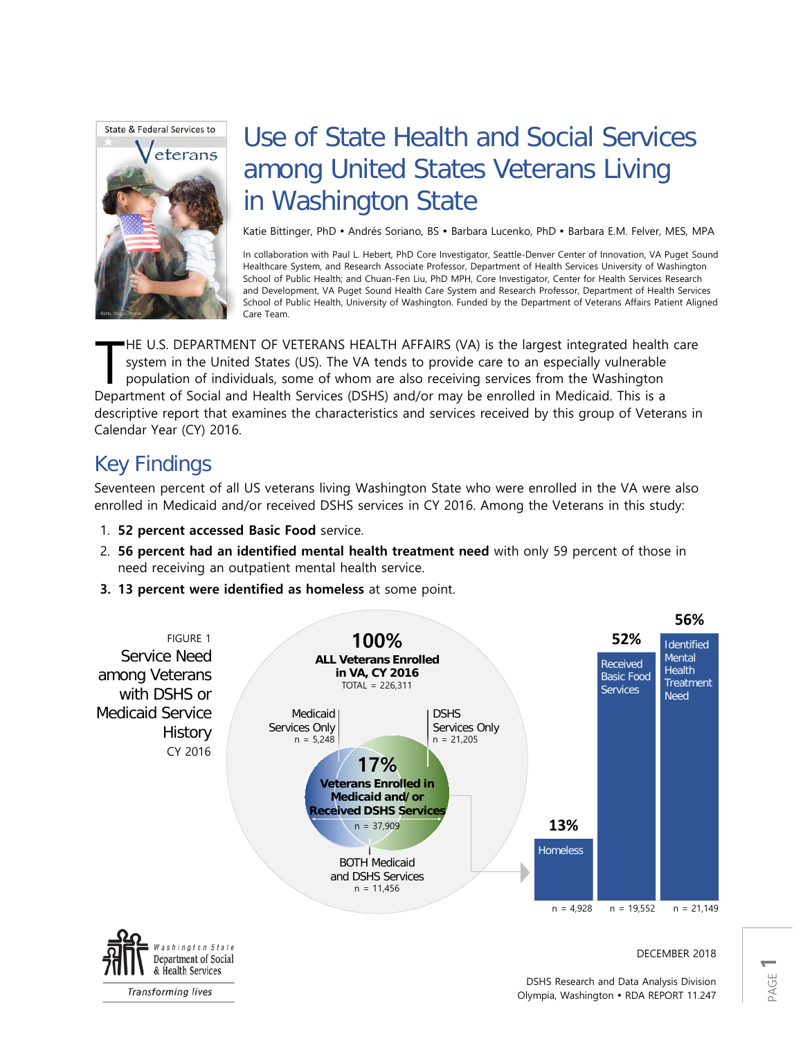

# Use of State Health and Social Services among United States Veterans Living in Washington State

Katie Bittinger, PhD · Andrés Soriano, BS · Barbara Lucenko, PhD · Barbara E.M. Felver, MES, MPA

In collaboration with Paul L. Hebert, PhD Core Investigator, Seattle-Denver Center of Innovation, VA Puget Sound Healthcare System, and Research Associate Professor, Department of Health Services University of Washington School of Public Health; and Chuan-Fen Liu, PhD MPH, Core Investigator, Center for Health Services Research and Development, VA Puget Sound Health Care System and Research Professor, Department of Health Services School of Public Health, University of Washington. Funded by the Department of Veterans Affairs Patient Aligned Care Team.

HE U.S. DEPARTMENT OF VETERANS HEALTH AFFAIRS (VA) is the largest integrated health care system in the United States (US). The VA tends to provide care to an especially vulnerable population of individuals, some of whom are also receiving services from the Washington HE U.S. DEPARTMENT OF VETERANS HEALTH AFFAIRS (VA) is the largest integrated health system in the United States (US). The VA tends to provide care to an especially vulnerable population of individuals, some of whom are als descriptive report that examines the characteristics and services received by this group of Veterans in Calendar Year (CY) 2016.

# Key Findings

Seventeen percent of all US veterans living Washington State who were enrolled in the VA were also enrolled in Medicaid and/or received DSHS services in CY 2016. Among the Veterans in this study:

- 1. **52 percent accessed Basic Food** service.
- 2. **56 percent had an identified mental health treatment need** with only 59 percent of those in need receiving an outpatient mental health service.
- **3. 13 percent were identified as homeless** at some point.

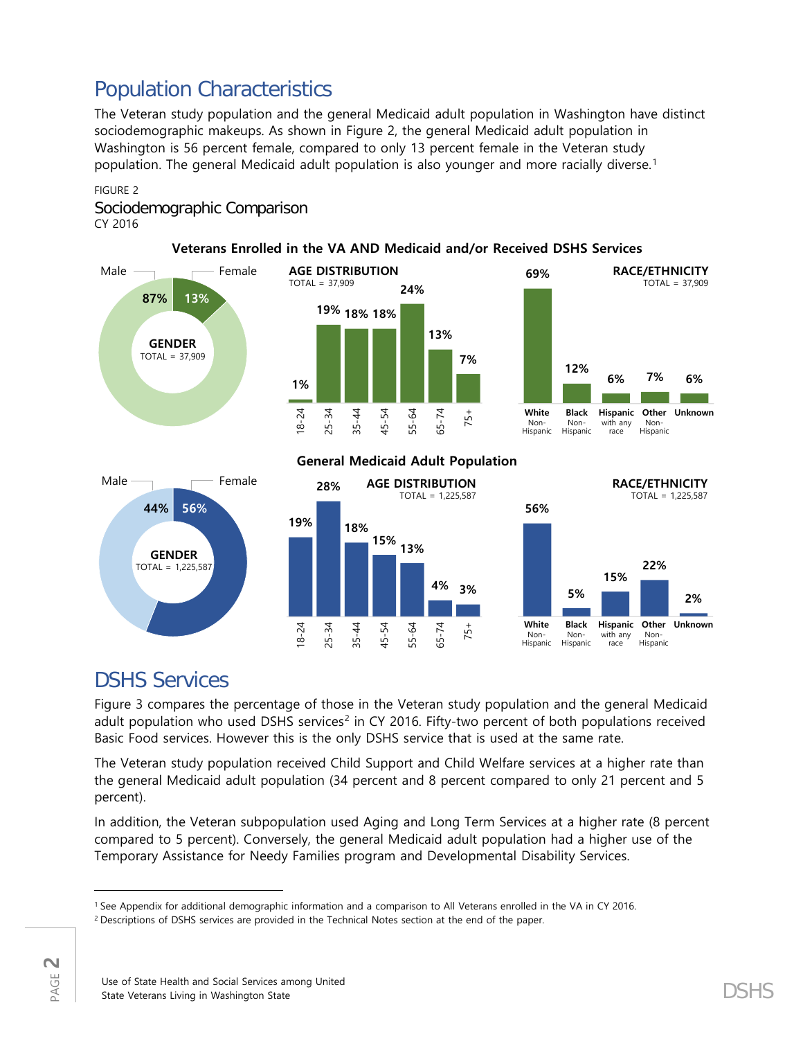# Population Characteristics

The Veteran study population and the general Medicaid adult population in Washington have distinct sociodemographic makeups. As shown in Figure 2, the general Medicaid adult population in Washington is 56 percent female, compared to only 13 percent female in the Veteran study population. The general Medicaid adult population is also younger and more racially diverse. [1](#page-1-0)

# FIGURE 2

### Sociodemographic Comparison CY 2016



### **Veterans Enrolled in the VA AND Medicaid and/or Received DSHS Services**

# DSHS Services

Figure 3 compares the percentage of those in the Veteran study population and the general Medicaid adult population who used DSHS services<sup>[2](#page-1-1)</sup> in CY 2016. Fifty-two percent of both populations received Basic Food services. However this is the only DSHS service that is used at the same rate.

The Veteran study population received Child Support and Child Welfare services at a higher rate than the general Medicaid adult population (34 percent and 8 percent compared to only 21 percent and 5 percent).

In addition, the Veteran subpopulation used Aging and Long Term Services at a higher rate (8 percent compared to 5 percent). Conversely, the general Medicaid adult population had a higher use of the Temporary Assistance for Needy Families program and Developmental Disability Services.

 $\overline{\phantom{a}}$ 

<span id="page-1-0"></span><sup>1</sup> See Appendix for additional demographic information and a comparison to All Veterans enrolled in the VA in CY 2016.

<span id="page-1-1"></span><sup>&</sup>lt;sup>2</sup> Descriptions of DSHS services are provided in the Technical Notes section at the end of the paper.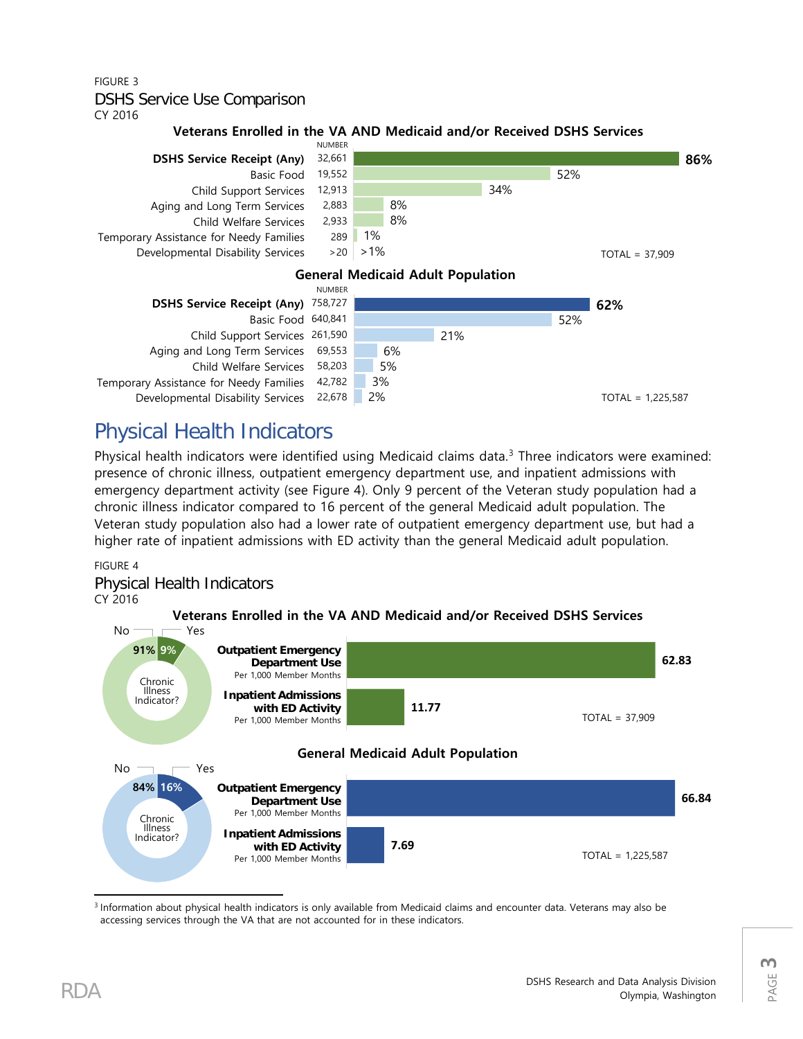# FIGURE 3 DSHS Service Use Comparison

CY 2016

### **Veterans Enrolled in the VA AND Medicaid and/or Received DSHS Services**



# Physical Health Indicators

Physical health indicators were identified using Medicaid claims data.<sup>[3](#page-2-0)</sup> Three indicators were examined: presence of chronic illness, outpatient emergency department use, and inpatient admissions with emergency department activity (see Figure 4). Only 9 percent of the Veteran study population had a chronic illness indicator compared to 16 percent of the general Medicaid adult population. The Veteran study population also had a lower rate of outpatient emergency department use, but had a higher rate of inpatient admissions with ED activity than the general Medicaid adult population.

### FIGURE 4

### Physical Health Indicators CY 2016



<span id="page-2-0"></span>l <sup>3</sup> Information about physical health indicators is only available from Medicaid claims and encounter data. Veterans may also be accessing services through the VA that are not accounted for in these indicators.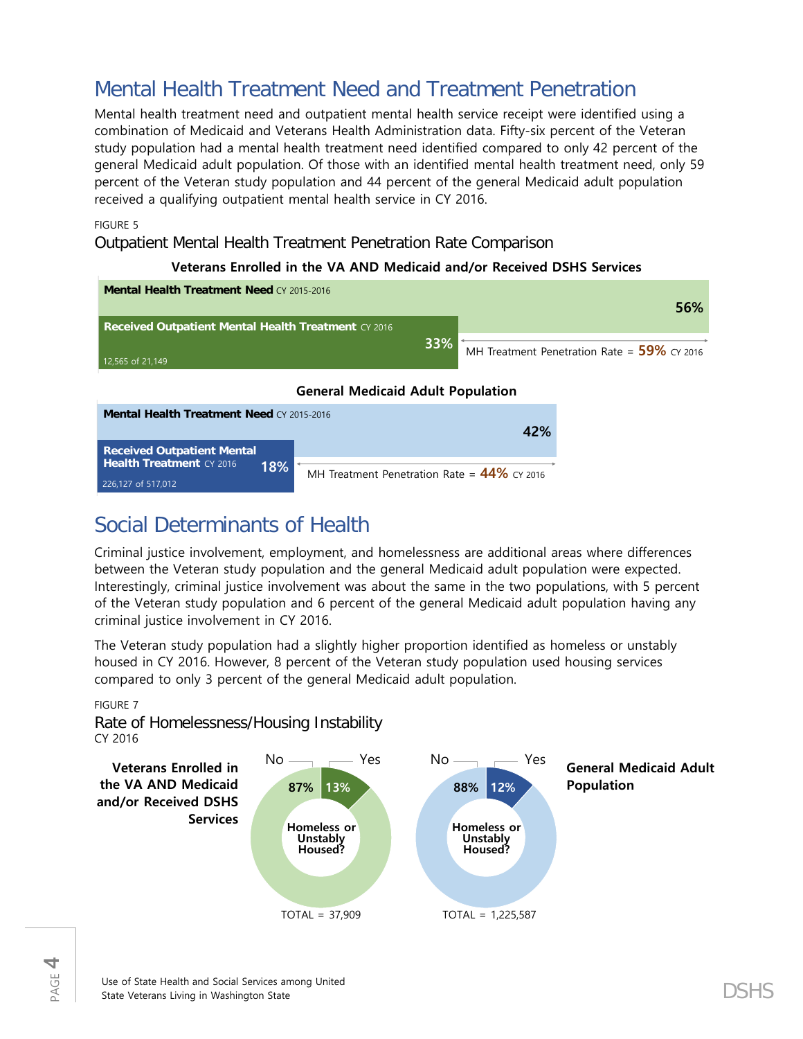# Mental Health Treatment Need and Treatment Penetration

Mental health treatment need and outpatient mental health service receipt were identified using a combination of Medicaid and Veterans Health Administration data. Fifty-six percent of the Veteran study population had a mental health treatment need identified compared to only 42 percent of the general Medicaid adult population. Of those with an identified mental health treatment need, only 59 percent of the Veteran study population and 44 percent of the general Medicaid adult population received a qualifying outpatient mental health service in CY 2016.

FIGURE 5

Outpatient Mental Health Treatment Penetration Rate Comparison

|                                                               | Veterans Enrolled in the VA AND Medicald and/or Received DSHS Services |     |                                                |  |  |  |  |  |  |  |
|---------------------------------------------------------------|------------------------------------------------------------------------|-----|------------------------------------------------|--|--|--|--|--|--|--|
| <b>Mental Health Treatment Need CY 2015-2016</b>              |                                                                        |     | 56%                                            |  |  |  |  |  |  |  |
| <b>Received Outpatient Mental Health Treatment CY 2016</b>    |                                                                        |     |                                                |  |  |  |  |  |  |  |
| 12,565 of 21,149                                              |                                                                        | 33% | MH Treatment Penetration Rate = $59\%$ CY 2016 |  |  |  |  |  |  |  |
| <b>General Medicaid Adult Population</b>                      |                                                                        |     |                                                |  |  |  |  |  |  |  |
| <b>Mental Health Treatment Need CY 2015-2016</b>              |                                                                        |     |                                                |  |  |  |  |  |  |  |
|                                                               |                                                                        | 42% |                                                |  |  |  |  |  |  |  |
| <b>Received Outpatient Mental</b><br>Health Treatment CY 2016 |                                                                        |     |                                                |  |  |  |  |  |  |  |
| 226,127 of 517,012                                            | 18%<br>MH Treatment Penetration Rate = $44\%$ CY 2016                  |     |                                                |  |  |  |  |  |  |  |

## **Veterans Enrolled in the VA AND Medicaid and/or Received DSHS Services**

# Social Determinants of Health

Criminal justice involvement, employment, and homelessness are additional areas where differences between the Veteran study population and the general Medicaid adult population were expected. Interestingly, criminal justice involvement was about the same in the two populations, with 5 percent of the Veteran study population and 6 percent of the general Medicaid adult population having any criminal justice involvement in CY 2016.

The Veteran study population had a slightly higher proportion identified as homeless or unstably housed in CY 2016. However, 8 percent of the Veteran study population used housing services compared to only 3 percent of the general Medicaid adult population.

#### FIGURE 7

Rate of Homelessness/Housing Instability CY 2016

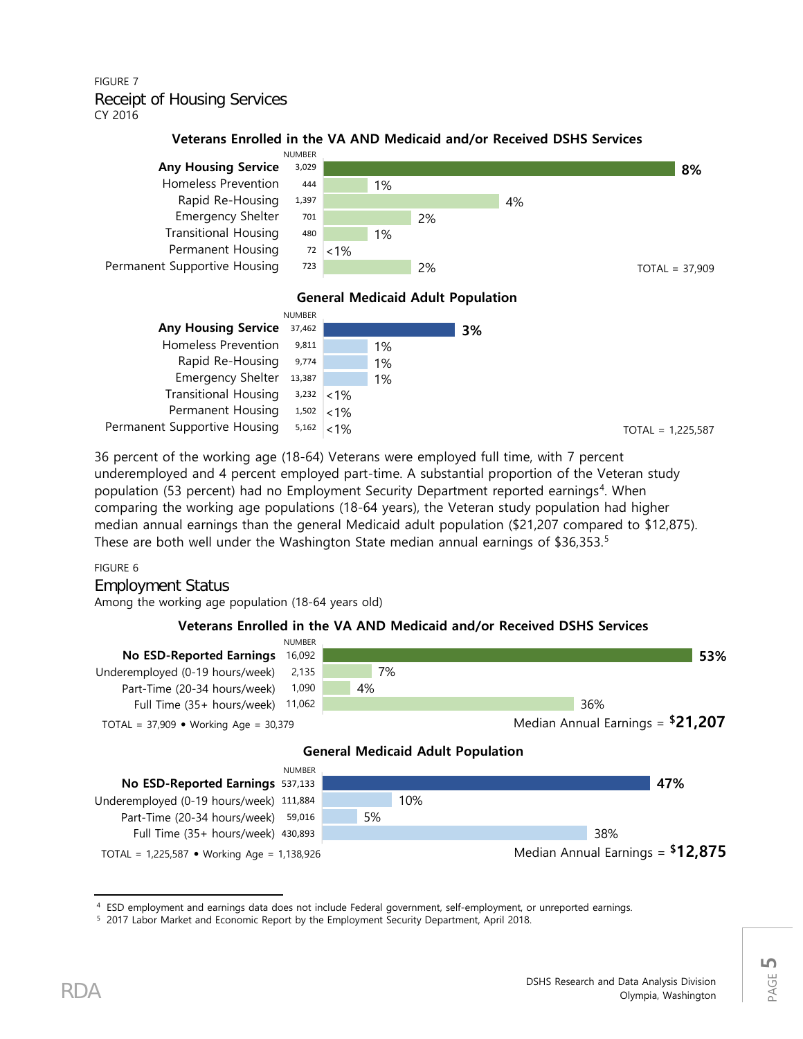### FIGURE 7 Receipt of Housing Services CY 2016

### **Veterans Enrolled in the VA AND Medicaid and/or Received DSHS Services**



### **General Medicaid Adult Population**

|                                                 | <b>NUMBER</b> |    |    |
|-------------------------------------------------|---------------|----|----|
| <b>Any Housing Service</b>                      | 37,462        |    | 3% |
| <b>Homeless Prevention</b>                      | 9,811         | 1% |    |
| Rapid Re-Housing 9,774                          |               | 1% |    |
| Emergency Shelter 13,387                        |               | 1% |    |
| Transitional Housing $3,232$ <1%                |               |    |    |
| Permanent Housing $1,502$ < 1%                  |               |    |    |
| Permanent Supportive Housing $5,162 \times 1\%$ |               |    |    |

36 percent of the working age (18-64) Veterans were employed full time, with 7 percent underemployed and 4 percent employed part-time. A substantial proportion of the Veteran study population (53 percent) had no Employment Security Department reported earnings<sup>[4](#page-4-0)</sup>. When comparing the working age populations (18-64 years), the Veteran study population had higher median annual earnings than the general Medicaid adult population (\$21,207 compared to \$12,875). These are both well under the Washington State median annual earnings of \$36,353. [5](#page-4-1)

#### FIGURE 6

Employment Status Among the working age population (18-64 years old)

### **Veterans Enrolled in the VA AND Medicaid and/or Received DSHS Services**



<span id="page-4-1"></span><span id="page-4-0"></span><sup>4</sup> ESD employment and earnings data does not include Federal government, self-employment, or unreported earnings.<br><sup>5</sup> 2017 Labor Market and Economic Report by the Employment Security Department, April 2018.

l

PAGE **5**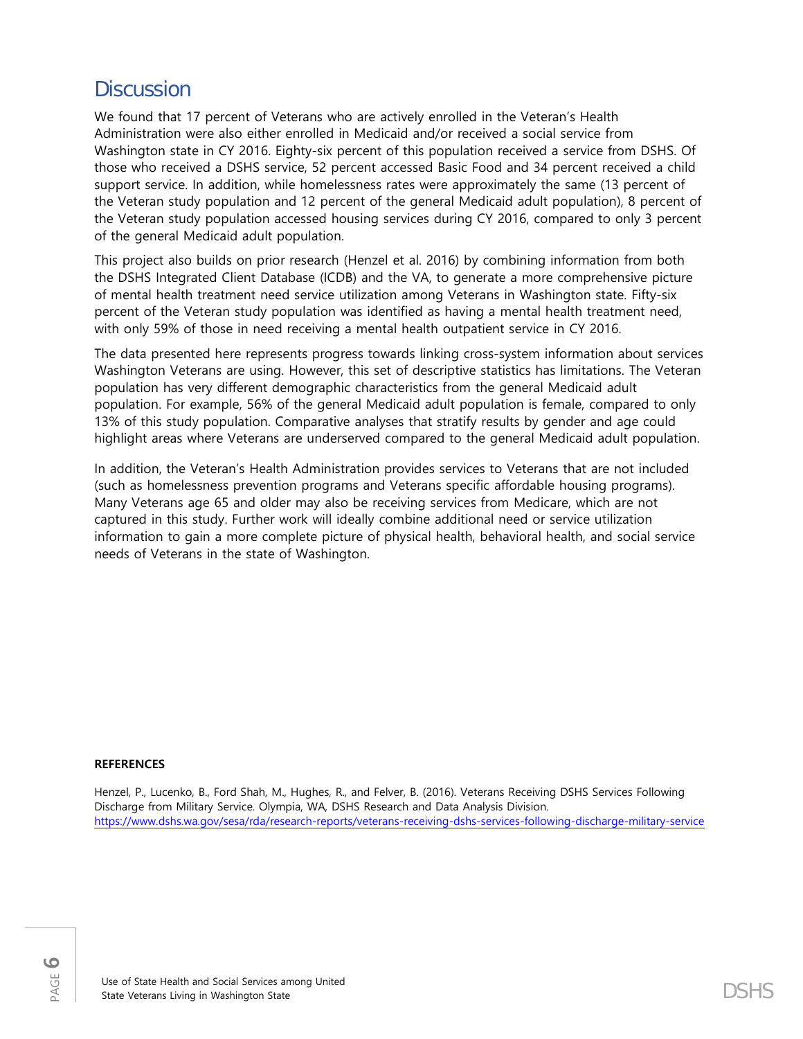# **Discussion**

We found that 17 percent of Veterans who are actively enrolled in the Veteran's Health Administration were also either enrolled in Medicaid and/or received a social service from Washington state in CY 2016. Eighty-six percent of this population received a service from DSHS. Of those who received a DSHS service, 52 percent accessed Basic Food and 34 percent received a child support service. In addition, while homelessness rates were approximately the same (13 percent of the Veteran study population and 12 percent of the general Medicaid adult population), 8 percent of the Veteran study population accessed housing services during CY 2016, compared to only 3 percent of the general Medicaid adult population.

This project also builds on prior research (Henzel et al. 2016) by combining information from both the DSHS Integrated Client Database (ICDB) and the VA, to generate a more comprehensive picture of mental health treatment need service utilization among Veterans in Washington state. Fifty-six percent of the Veteran study population was identified as having a mental health treatment need, with only 59% of those in need receiving a mental health outpatient service in CY 2016.

The data presented here represents progress towards linking cross-system information about services Washington Veterans are using. However, this set of descriptive statistics has limitations. The Veteran population has very different demographic characteristics from the general Medicaid adult population. For example, 56% of the general Medicaid adult population is female, compared to only 13% of this study population. Comparative analyses that stratify results by gender and age could highlight areas where Veterans are underserved compared to the general Medicaid adult population.

In addition, the Veteran's Health Administration provides services to Veterans that are not included (such as homelessness prevention programs and Veterans specific affordable housing programs). Many Veterans age 65 and older may also be receiving services from Medicare, which are not captured in this study. Further work will ideally combine additional need or service utilization information to gain a more complete picture of physical health, behavioral health, and social service needs of Veterans in the state of Washington.

#### **REFERENCES**

Henzel, P., Lucenko, B., Ford Shah, M., Hughes, R., and Felver, B. (2016). Veterans Receiving DSHS Services Following Discharge from Military Service. Olympia, WA, DSHS Research and Data Analysis Division. <https://www.dshs.wa.gov/sesa/rda/research-reports/veterans-receiving-dshs-services-following-discharge-military-service>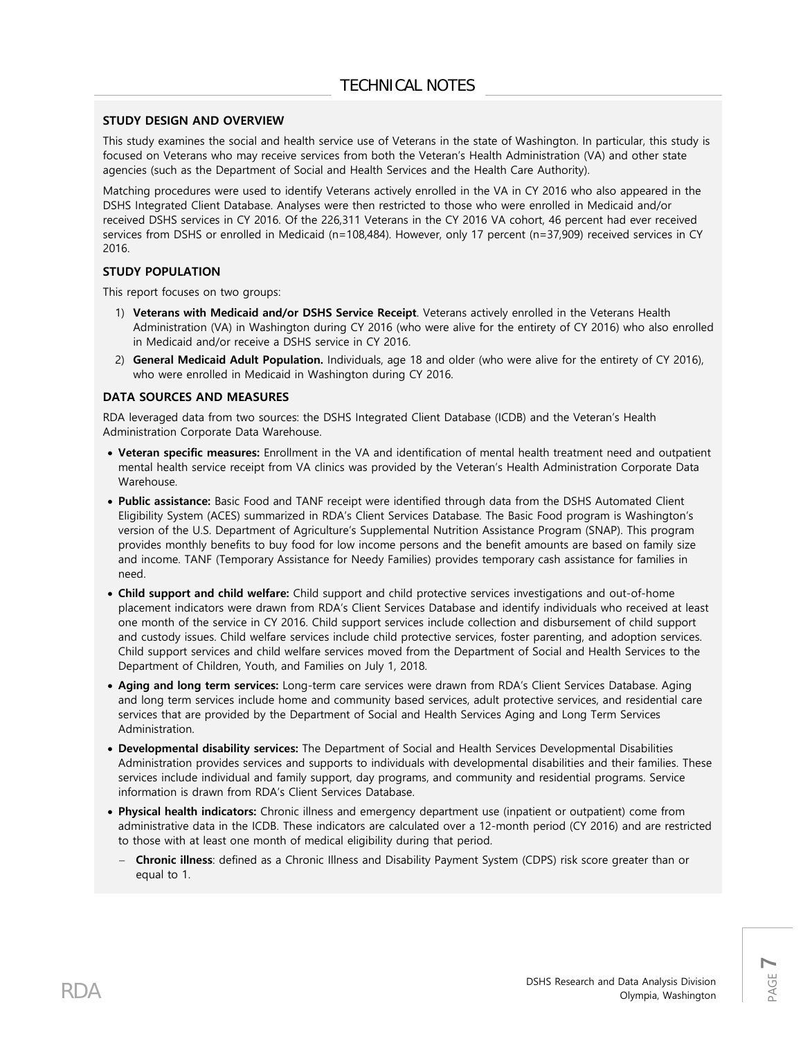#### **STUDY DESIGN AND OVERVIEW**

This study examines the social and health service use of Veterans in the state of Washington. In particular, this study is focused on Veterans who may receive services from both the Veteran's Health Administration (VA) and other state agencies (such as the Department of Social and Health Services and the Health Care Authority).

Matching procedures were used to identify Veterans actively enrolled in the VA in CY 2016 who also appeared in the DSHS Integrated Client Database. Analyses were then restricted to those who were enrolled in Medicaid and/or received DSHS services in CY 2016. Of the 226,311 Veterans in the CY 2016 VA cohort, 46 percent had ever received services from DSHS or enrolled in Medicaid (n=108,484). However, only 17 percent (n=37,909) received services in CY 2016.

#### **STUDY POPULATION**

This report focuses on two groups:

- 1) **Veterans with Medicaid and/or DSHS Service Receipt**. Veterans actively enrolled in the Veterans Health Administration (VA) in Washington during CY 2016 (who were alive for the entirety of CY 2016) who also enrolled in Medicaid and/or receive a DSHS service in CY 2016.
- 2) **General Medicaid Adult Population.** Individuals, age 18 and older (who were alive for the entirety of CY 2016), who were enrolled in Medicaid in Washington during CY 2016.

#### **DATA SOURCES AND MEASURES**

RDA leveraged data from two sources: the DSHS Integrated Client Database (ICDB) and the Veteran's Health Administration Corporate Data Warehouse.

- **Veteran specific measures:** Enrollment in the VA and identification of mental health treatment need and outpatient mental health service receipt from VA clinics was provided by the Veteran's Health Administration Corporate Data Warehouse.
- **Public assistance:** Basic Food and TANF receipt were identified through data from the DSHS Automated Client Eligibility System (ACES) summarized in RDA's Client Services Database. The Basic Food program is Washington's version of the U.S. Department of Agriculture's Supplemental Nutrition Assistance Program (SNAP). This program provides monthly benefits to buy food for low income persons and the benefit amounts are based on family size and income. TANF (Temporary Assistance for Needy Families) provides temporary cash assistance for families in need.
- **Child support and child welfare:** Child support and child protective services investigations and out-of-home placement indicators were drawn from RDA's Client Services Database and identify individuals who received at least one month of the service in CY 2016. Child support services include collection and disbursement of child support and custody issues. Child welfare services include child protective services, foster parenting, and adoption services. Child support services and child welfare services moved from the Department of Social and Health Services to the Department of Children, Youth, and Families on July 1, 2018.
- **Aging and long term services:** Long-term care services were drawn from RDA's Client Services Database. Aging and long term services include home and community based services, adult protective services, and residential care services that are provided by the Department of Social and Health Services Aging and Long Term Services Administration.
- **Developmental disability services:** The Department of Social and Health Services Developmental Disabilities Administration provides services and supports to individuals with developmental disabilities and their families. These services include individual and family support, day programs, and community and residential programs. Service information is drawn from RDA's Client Services Database.
- **Physical health indicators:** Chronic illness and emergency department use (inpatient or outpatient) come from administrative data in the ICDB. These indicators are calculated over a 12-month period (CY 2016) and are restricted to those with at least one month of medical eligibility during that period.
	- − **Chronic illness**: defined as a Chronic Illness and Disability Payment System (CDPS) risk score greater than or equal to 1.